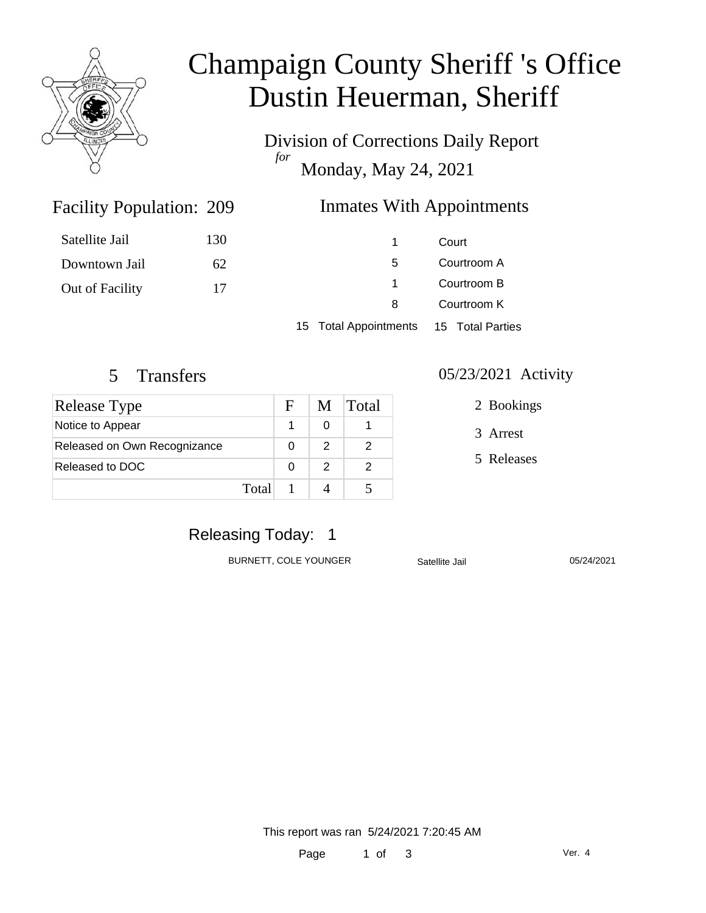

# Champaign County Sheriff 's Office Dustin Heuerman, Sheriff

Division of Corrections Daily Report *for* Monday, May 24, 2021

### Inmates With Appointments

| Satellite Jail  | 130 | 1.                                     | Court                      |  |
|-----------------|-----|----------------------------------------|----------------------------|--|
| Downtown Jail   | 62  | 5.                                     | Courtroom A                |  |
| Out of Facility | 17  | $\mathbf{1}$                           | Courtroom B<br>Courtroom K |  |
|                 |     | 8                                      |                            |  |
|                 |     | 15 Total Appointments 15 Total Parties |                            |  |

Facility Population: 209

| Release Type                 | F        | M | <b>Total</b> |
|------------------------------|----------|---|--------------|
| Notice to Appear             |          |   |              |
| Released on Own Recognizance |          | 2 |              |
| Released to DOC              | $\Omega$ | 2 |              |
| Total                        |          |   |              |

#### 5 Transfers 05/23/2021 Activity

2 Bookings

3 Arrest

5 Releases

# Releasing Today: 1

BURNETT, COLE YOUNGER Satellite Jail 05/24/2021

This report was ran 5/24/2021 7:20:45 AM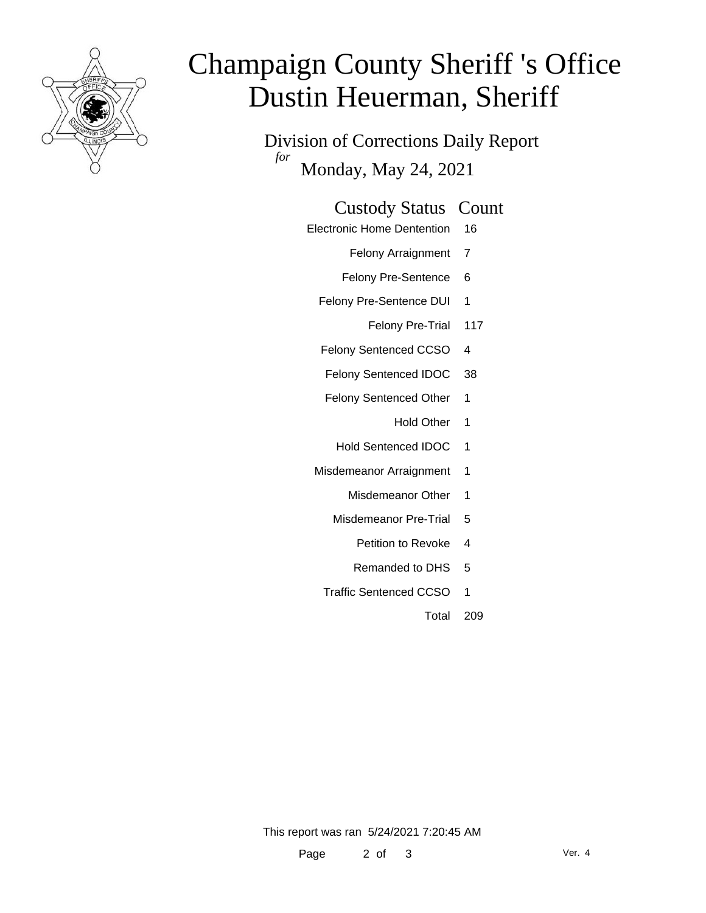

# Champaign County Sheriff 's Office Dustin Heuerman, Sheriff

Division of Corrections Daily Report *for* Monday, May 24, 2021

#### Custody Status Count

Electronic Home Dentention 16

Felony Arraignment 7

- Felony Pre-Sentence 6
- Felony Pre-Sentence DUI 1
	- Felony Pre-Trial 117
- Felony Sentenced CCSO 4
- Felony Sentenced IDOC 38
- Felony Sentenced Other 1
	- Hold Other 1
	- Hold Sentenced IDOC 1
- Misdemeanor Arraignment 1
	- Misdemeanor Other 1
	- Misdemeanor Pre-Trial 5
		- Petition to Revoke 4
		- Remanded to DHS 5
	- Traffic Sentenced CCSO 1
		- Total 209

This report was ran 5/24/2021 7:20:45 AM